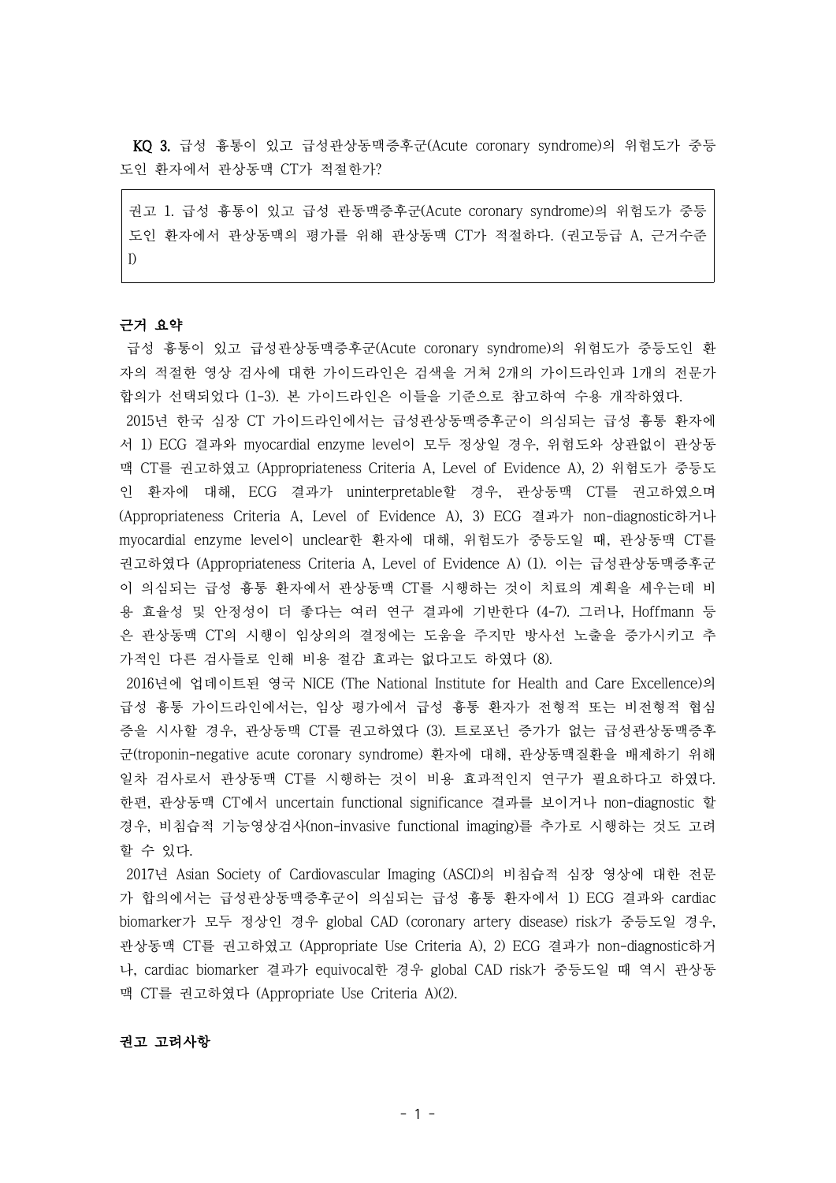KQ 3. 급성 흉통이 있고 급성관상동맥증후군(Acute coronary syndrome)의 위험도가 중등 도인 환자에서 관상동맥 CT가 적절한가?

권고 1. 급성 흉통이 있고 급성 관동맥증후군(Acute coronary syndrome)의 위험도가 중등 도인 환자에서 관상동맥의 평가를 위해 관상동맥 CT가 적절하다. (권고등급 A, 근거수준 I)

#### 근거 요약

급성 흉통이 있고 급성관상동맥증후군(Acute coronary syndrome)의 위험도가 중등도인 환 자의 적절한 영상 검사에 대한 가이드라인은 검색을 거쳐 2개의 가이드라인과 1개의 전문가 합의가 선택되었다 (1-3). 본 가이드라인은 이들을 기준으로 참고하여 수용 개작하였다.

2015년 한국 심장 CT 가이드라인에서는 급성관상동맥증후군이 의심되는 급성 흉통 환자에 서 1) ECG 결과와 myocardial enzyme level이 모두 정상일 경우, 위험도와 상관없이 관상동 맥 CT를 권고하였고 (Appropriateness Criteria A, Level of Evidence A), 2) 위험도가 중등도 인 환자에 대해, ECG 결과가 uninterpretable할 경우, 관상동맥 CT를 권고하였으며 (Appropriateness Criteria A, Level of Evidence A), 3) ECG 결과가 non-diagnostic하거나 myocardial enzyme level이 unclear한 환자에 대해, 위험도가 중등도일 때, 관상동맥 CT를 권고하였다 (Appropriateness Criteria A, Level of Evidence A) (1). 이는 급성관상동맥증후군 이 의심되는 급성 흉통 환자에서 관상동맥 CT를 시행하는 것이 치료의 계획을 세우는데 비 용 효율성 및 안정성이 더 좋다는 여러 연구 결과에 기반한다 (4-7). 그러나, Hoffmann 등 은 관상동맥 CT의 시행이 임상의의 결정에는 도움을 주지만 방사선 노출을 증가시키고 추 가적인 다른 검사들로 인해 비용 절감 효과는 없다고도 하였다 (8).

2016년에 업데이트된 영국 NICE (The National Institute for Health and Care Excellence)의 급성 흉통 가이드라인에서는, 임상 평가에서 급성 흉통 환자가 전형적 또는 비전형적 협심 증을 시사할 경우, 관상동맥 CT를 권고하였다 (3). 트로포닌 증가가 없는 급성관상동맥증후 군(troponin-negative acute coronary syndrome) 환자에 대해, 관상동맥질환을 배제하기 위해 일차 검사로서 관상동맥 CT를 시행하는 것이 비용 효과적인지 연구가 필요하다고 하였다. 한편, 관상동맥 CT에서 uncertain functional significance 결과를 보이거나 non-diagnostic 할 경우, 비침습적 기능영상검사(non-invasive functional imaging)를 추가로 시행하는 것도 고려 할 수 있다.

2017년 Asian Society of Cardiovascular Imaging (ASCI)의 비침습적 심장 영상에 대한 전문 가 합의에서는 급성관상동맥증후군이 의심되는 급성 흉통 환자에서 1) ECG 결과와 cardiac biomarker가 모두 정상인 경우 global CAD (coronary artery disease) risk가 중등도일 경우, 관상동맥 CT를 권고하였고 (Appropriate Use Criteria A), 2) ECG 결과가 non-diagnostic하거 나, cardiac biomarker 결과가 equivocal한 경우 global CAD risk가 중등도일 때 역시 관상동 맥 CT를 권고하였다 (Appropriate Use Criteria A)(2).

# 권고 고려사항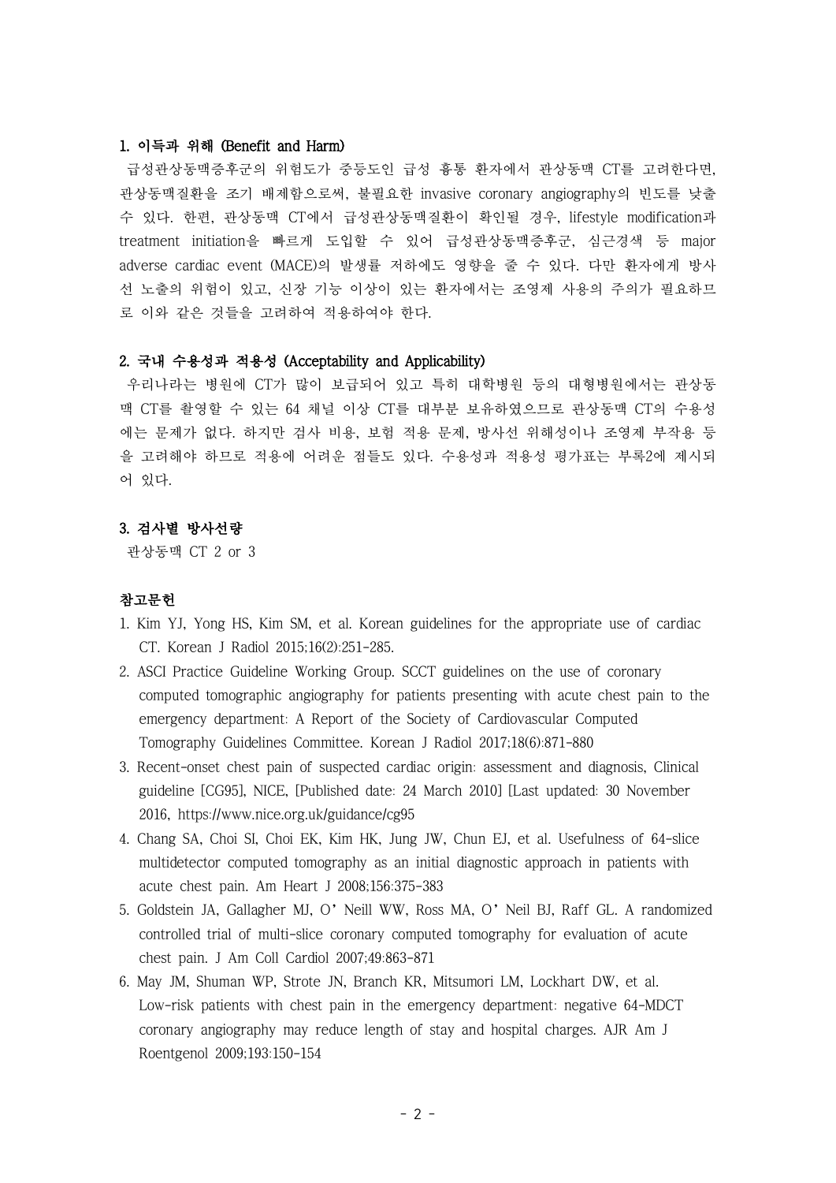### 1. 이득과 위해 (Benefit and Harm)

급성관상동맥증후군의 위험도가 중등도인 급성 흉통 환자에서 관상동맥 CT를 고려한다면, 관상동맥질환을 조기 배제함으로써, 불필요한 invasive coronary angiography의 빈도를 낮출 수 있다. 한편, 관상동맥 CT에서 급성관상동맥질환이 확인될 경우, lifestyle modification과 treatment initiation을 빠르게 도입할 수 있어 급성관상동맥증후군, 심근경색 등 major adverse cardiac event (MACE)의 발생률 저하에도 영향을 줄 수 있다. 다만 환자에게 방사 선 노출의 위험이 있고, 신장 기능 이상이 있는 환자에서는 조영제 사용의 주의가 필요하므 로 이와 같은 것들을 고려하여 적용하여야 한다.

# 2. 국내 수용성과 적용성 (Acceptability and Applicability)

우리나라는 병원에 CT가 많이 보급되어 있고 특히 대학병원 등의 대형병원에서는 관상동 맥 CT를 촬영할 수 있는 64 채널 이상 CT를 대부분 보유하였으므로 관상동맥 CT의 수용성 에는 문제가 없다. 하지만 검사 비용, 보험 적용 문제, 방사선 위해성이나 조영제 부작용 등 을 고려해야 하므로 적용에 어려운 점들도 있다. 수용성과 적용성 평가표는 부록2에 제시되 어 있다.

### 3. 검사별 방사선량

관상동맥 CT 2 or 3

# 참고문헌

- 1. Kim YJ, Yong HS, Kim SM, et al. Korean guidelines for the appropriate use of cardiac CT. Korean J Radiol 2015;16(2):251-285.
- 2. ASCI Practice Guideline Working Group. SCCT guidelines on the use of coronary computed tomographic angiography for patients presenting with acute chest pain to the emergency department: A Report of the Society of Cardiovascular Computed Tomography Guidelines Committee. Korean J Radiol 2017;18(6):871-880
- 3. Recent-onset chest pain of suspected cardiac origin: assessment and diagnosis, Clinical guideline [CG95], NICE, [Published date: 24 March 2010] [Last updated: 30 November 2016, https://www.nice.org.uk/guidance/cg95
- 4. Chang SA, Choi SI, Choi EK, Kim HK, Jung JW, Chun EJ, et al. Usefulness of 64-slice multidetector computed tomography as an initial diagnostic approach in patients with acute chest pain. Am Heart J 2008;156:375-383
- 5. Goldstein JA, Gallagher MJ, O'Neill WW, Ross MA, O'Neil BJ, Raff GL. A randomized controlled trial of multi-slice coronary computed tomography for evaluation of acute chest pain. J Am Coll Cardiol 2007;49:863-871
- 6. May JM, Shuman WP, Strote JN, Branch KR, Mitsumori LM, Lockhart DW, et al. Low-risk patients with chest pain in the emergency department: negative 64-MDCT coronary angiography may reduce length of stay and hospital charges. AJR Am J Roentgenol 2009;193:150-154